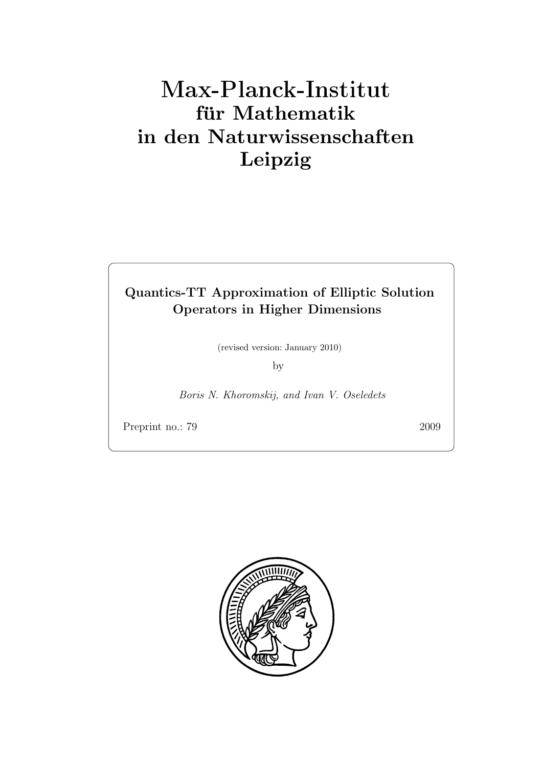# Max-Plan
k-Institut für Mathematik in den Naturwissenschaften Leipzig

## Quantics-TT Approximation of Elliptic Solution Operators in Higher Dimensions

(revised version: January 2010)

by

Boris N. Khoromskij, and Ivan V. Oseledets

Preprint no.: 79 2009

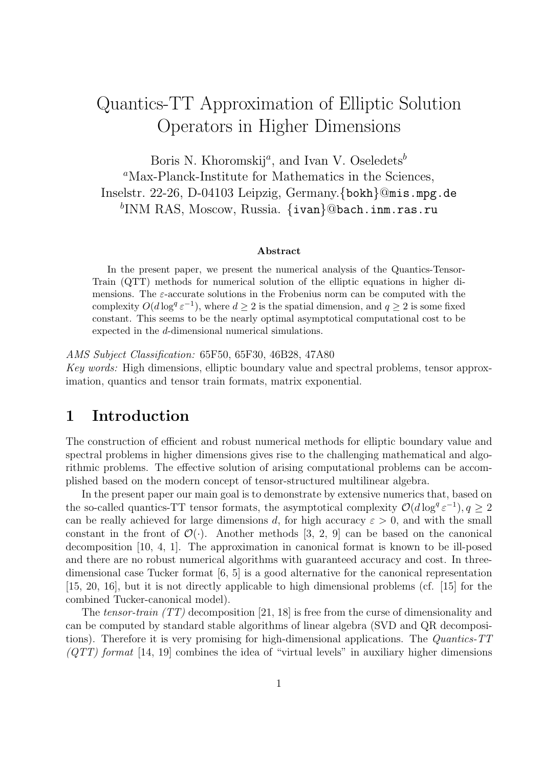## Quantics-TT Approximation of Elliptic Solution Operators in Higher Dimensions

Boris N. Khoromskij<sup>a</sup>, and Ivan V. Oseledets<sup>b</sup> <sup>a</sup>Max-Planck-Institute for Mathematics in the Sciences, Inselstr. 22-26, D-04103 Leipzig, Germany.{bokh}@mis.mpg.de  ${}^{b}\mathrm{INM\ RAS, \,Moscow, \, Russian.}$  {ivan}@bach.inm.ras.ru

#### Abstract

In the present paper, we present the numerical analysis of the Quantics-Tensor-Train (QTT) methods for numerical solution of the elliptic equations in higher dimensions. The  $\varepsilon$ -accurate solutions in the Frobenius norm can be computed with the complexity  $O(d \log^{q} \varepsilon^{-1})$ , where  $d \geq 2$  is the spatial dimension, and  $q \geq 2$  is some fixed constant. This seems to be the nearly optimal asymptotical computational cost to be expected in the d-dimensional numerical simulations.

AMS Subject Classification: 65F50, 65F30, 46B28, 47A80 Key words: High dimensions, elliptic boundary value and spectral problems, tensor approximation, quantics and tensor train formats, matrix exponential.

## 1 Introduction

The construction of efficient and robust numerical methods for elliptic boundary value and spectral problems in higher dimensions gives rise to the challenging mathematical and algorithmic problems. The effective solution of arising computational problems can be accomplished based on the modern concept of tensor-structured multilinear algebra.

In the present paper our main goal is to demonstrate by extensive numerics that, based on the so-called quantics-TT tensor formats, the asymptotical complexity  $\mathcal{O}(d \log^q \varepsilon^{-1}), q \geq 2$ can be really achieved for large dimensions d, for high accuracy  $\varepsilon > 0$ , and with the small constant in the front of  $\mathcal{O}(\cdot)$ . Another methods [3, 2, 9] can be based on the canonical decomposition [10, 4, 1]. The approximation in canonical format is known to be ill-posed and there are no robust numerical algorithms with guaranteed accuracy and cost. In threedimensional case Tucker format [6, 5] is a good alternative for the canonical representation [15, 20, 16], but it is not directly applicable to high dimensional problems (cf. [15] for the combined Tucker-canonical model).

The tensor-train  $(TT)$  decomposition [21, 18] is free from the curse of dimensionality and can be computed by standard stable algorithms of linear algebra (SVD and QR decompositions). Therefore it is very promising for high-dimensional applications. The Quantics-TT  $(TTT)$  format [14, 19] combines the idea of "virtual levels" in auxiliary higher dimensions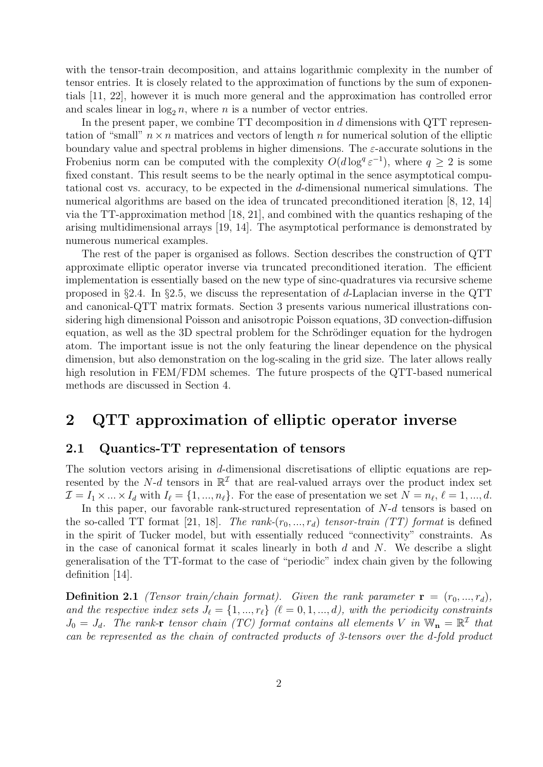with the tensor-train decomposition, and attains logarithmic complexity in the number of tensor entries. It is closely related to the approximation of functions by the sum of exponentials [11, 22], however it is much more general and the approximation has controlled error and scales linear in  $\log_2 n$ , where *n* is a number of vector entries.

In the present paper, we combine  $TT$  decomposition in  $d$  dimensions with  $QTT$  representation of "small"  $n \times n$  matrices and vectors of length n for numerical solution of the elliptic boundary value and spectral problems in higher dimensions. The  $\varepsilon$ -accurate solutions in the Frobenius norm can be computed with the complexity  $O(d \log^{q} \varepsilon^{-1})$ , where  $q \geq 2$  is some fixed constant. This result seems to be the nearly optimal in the sence asymptotical computational cost vs. accuracy, to be expected in the d-dimensional numerical simulations. The numerical algorithms are based on the idea of truncated preconditioned iteration [8, 12, 14] via the TT-approximation method [18, 21], and combined with the quantics reshaping of the arising multidimensional arrays [19, 14]. The asymptotical performance is demonstrated by numerous numerical examples.

The rest of the paper is organised as follows. Section describes the construction of QTT approximate elliptic operator inverse via truncated preconditioned iteration. The efficient implementation is essentially based on the new type of sinc-quadratures via recursive scheme proposed in §2.4. In §2.5, we discuss the representation of d-Laplacian inverse in the QTT and canonical-QTT matrix formats. Section 3 presents various numerical illustrations considering high dimensional Poisson and anisotropic Poisson equations, 3D convection-diffusion equation, as well as the 3D spectral problem for the Schrödinger equation for the hydrogen atom. The important issue is not the only featuring the linear dependence on the physical dimension, but also demonstration on the log-scaling in the grid size. The later allows really high resolution in FEM/FDM schemes. The future prospects of the QTT-based numerical methods are discussed in Section 4.

## 2 QTT approximation of elliptic operator inverse

#### 2.1 Quantics-TT representation of tensors

The solution vectors arising in d-dimensional discretisations of elliptic equations are represented by the N-d tensors in  $\mathbb{R}^{\mathcal{I}}$  that are real-valued arrays over the product index set  $\mathcal{I} = I_1 \times \ldots \times I_d$  with  $I_\ell = \{1, ..., n_\ell\}$ . For the ease of presentation we set  $N = n_\ell, \ell = 1, ..., d$ .

In this paper, our favorable rank-structured representation of  $N-d$  tensors is based on the so-called TT format [21, 18]. The rank- $(r_0, ..., r_d)$  tensor-train (TT) format is defined in the spirit of Tucker model, but with essentially reduced "connectivity" constraints. As in the case of canonical format it scales linearly in both  $d$  and  $N$ . We describe a slight generalisation of the TT-format to the case of "periodic" index chain given by the following definition [14].

**Definition 2.1** (Tensor train/chain format). Given the rank parameter  $\mathbf{r} = (r_0, ..., r_d)$ , and the respective index sets  $J_{\ell} = \{1, ..., r_{\ell}\}$  ( $\ell = 0, 1, ..., d$ ), with the periodicity constraints  $J_0 = J_d$ . The rank-r tensor chain (TC) format contains all elements V in  $\mathbb{W}_n = \mathbb{R}^{\mathcal{I}}$  that can be represented as the chain of contracted products of 3-tensors over the d-fold product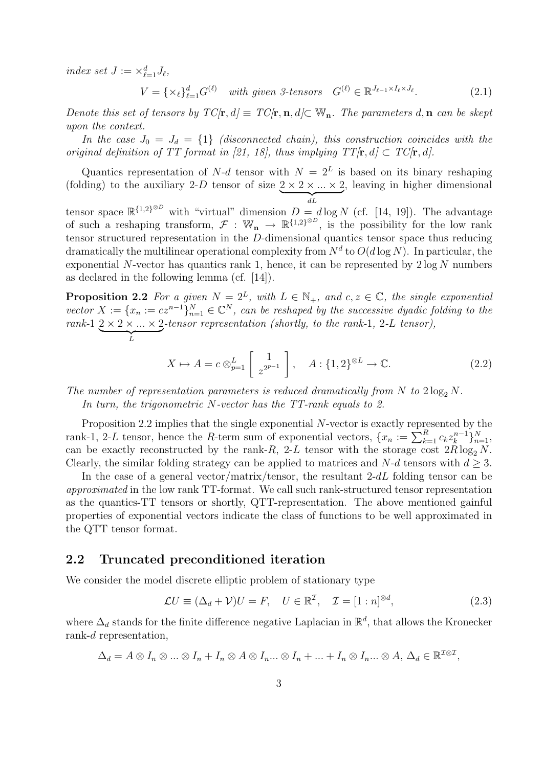index set  $J := \times_{\ell=1}^d J_\ell$ ,

$$
V = \{ \times_{\ell} \}_{\ell=1}^d G^{(\ell)} \quad \text{with given 3-tensors} \quad G^{(\ell)} \in \mathbb{R}^{J_{\ell-1} \times I_{\ell} \times J_{\ell}}. \tag{2.1}
$$

Denote this set of tensors by  $TC[\mathbf{r}, d] \equiv TC[\mathbf{r}, \mathbf{n}, d] \subset \mathbb{W}_{\mathbf{n}}$ . The parameters d,  $\mathbf{n}$  can be skept upon the context.

In the case  $J_0 = J_d = \{1\}$  (disconnected chain), this construction coincides with the original definition of TT format in [21, 18], thus implying  $TT[\mathbf{r}, d] \subset TC[\mathbf{r}, d]$ .

Quantics representation of N-d tensor with  $N = 2<sup>L</sup>$  is based on its binary reshaping (folding) to the auxiliary 2-D tensor of size  $\underbrace{2 \times 2 \times ... \times 2}_{dL}$ , leaving in higher dimensional

tensor space  $\mathbb{R}^{\{1,2\}^{\otimes D}}$  with "virtual" dimension  $D = d \log N$  (cf. [14, 19]). The advantage of such a reshaping transform,  $\mathcal{F}: \mathbb{W}_{n} \to \mathbb{R}^{\{1,2\}^{\otimes D}}$ , is the possibility for the low rank tensor structured representation in the D-dimensional quantics tensor space thus reducing dramatically the multilinear operational complexity from  $N^d$  to  $O(d \log N)$ . In particular, the exponential N-vector has quantics rank 1, hence, it can be represented by  $2 \log N$  numbers as declared in the following lemma (cf. [14]).

**Proposition 2.2** For a given  $N = 2^L$ , with  $L \in \mathbb{N}_+$ , and  $c, z \in \mathbb{C}$ , the single exponential vector  $X := \{x_n := cz^{n-1}\}_{n=1}^N \in \mathbb{C}^N$ , can be reshaped by the successive dyadic folding to the rank-1  $\underbrace{2 \times 2 \times ... \times 2}_{L}$ -tensor representation (shortly, to the rank-1, 2-L tensor),

$$
X \mapsto A = c \otimes_{p=1}^{L} \left[ \begin{array}{c} 1 \\ z^{2^{p-1}} \end{array} \right], \quad A: \{1, 2\}^{\otimes L} \to \mathbb{C}.
$$
 (2.2)

The number of representation parameters is reduced dramatically from N to  $2 \log_2 N$ .

In turn, the trigonometric N-vector has the TT-rank equals to 2.

Proposition 2.2 implies that the single exponential N-vector is exactly represented by the rank-1, 2-L tensor, hence the R-term sum of exponential vectors,  $\{x_n := \sum_{k=1}^R c_k z_k^{n-1}\}$  $\{k-1\}_{n=1}^{N}$ can be exactly reconstructed by the rank-R, 2-L tensor with the storage cost  $2R \log_2 N$ . Clearly, the similar folding strategy can be applied to matrices and N-d tensors with  $d \geq 3$ .

In the case of a general vector/matrix/tensor, the resultant  $2-dL$  folding tensor can be approximated in the low rank TT-format. We call such rank-structured tensor representation as the quantics-TT tensors or shortly, QTT-representation. The above mentioned gainful properties of exponential vectors indicate the class of functions to be well approximated in the QTT tensor format.

#### 2.2 Truncated preconditioned iteration

We consider the model discrete elliptic problem of stationary type

$$
\mathcal{L}U \equiv (\Delta_d + \mathcal{V})U = F, \quad U \in \mathbb{R}^{\mathcal{I}}, \quad \mathcal{I} = [1:n]^{\otimes d}, \tag{2.3}
$$

where  $\Delta_d$  stands for the finite difference negative Laplacian in  $\mathbb{R}^d$ , that allows the Kronecker rank-d representation,

$$
\Delta_d = A \otimes I_n \otimes \ldots \otimes I_n + I_n \otimes A \otimes I_n \ldots \otimes I_n + \ldots + I_n \otimes I_n \ldots \otimes A, \, \Delta_d \in \mathbb{R}^{\mathcal{I} \otimes \mathcal{I}},
$$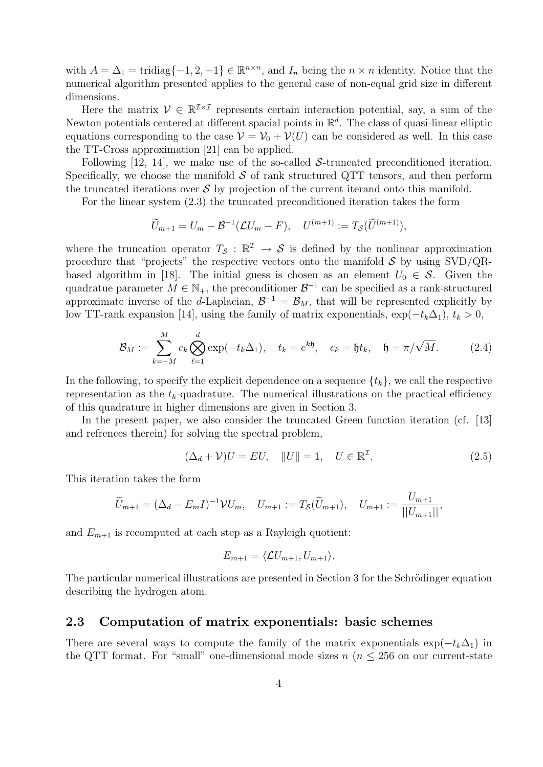with  $A = \Delta_1 = \text{tridiag}\{-1, 2, -1\} \in \mathbb{R}^{n \times n}$ , and  $I_n$  being the  $n \times n$  identity. Notice that the numerical algorithm presented applies to the general case of non-equal grid size in different dimensions.

Here the matrix  $V \in \mathbb{R}^{I \times I}$  represents certain interaction potential, say, a sum of the Newton potentials centered at different spacial points in  $\mathbb{R}^d$ . The class of quasi-linear elliptic equations corresponding to the case  $\mathcal{V} = \mathcal{V}_0 + \mathcal{V}(U)$  can be considered as well. In this case the TT-Cross approximation [21] can be applied.

Following  $[12, 14]$ , we make use of the so-called S-truncated preconditioned iteration. Specifically, we choose the manifold  $\mathcal S$  of rank structured QTT tensors, and then perform the truncated iterations over  $\mathcal S$  by projection of the current iterand onto this manifold.

For the linear system (2.3) the truncated preconditioned iteration takes the form

$$
\widetilde{U}_{m+1}=U_m-\mathcal{B}^{-1}(\mathcal{L}U_m-F),\quad U^{(m+1)}:=T_{\mathcal{S}}(\widetilde{U}^{(m+1)}),
$$

where the truncation operator  $T_S : \mathbb{R}^{\mathcal{I}} \to S$  is defined by the nonlinear approximation procedure that "projects" the respective vectors onto the manifold  $S$  by using SVD/QRbased algorithm in [18]. The initial guess is chosen as an element  $U_0 \in \mathcal{S}$ . Given the quadratue parameter  $M \in \mathbb{N}_+$ , the preconditioner  $\mathcal{B}^{-1}$  can be specified as a rank-structured approximate inverse of the d-Laplacian,  $\mathcal{B}^{-1} = \mathcal{B}_M$ , that will be represented explicitly by low TT-rank expansion [14], using the family of matrix exponentials,  $\exp(-t_k\Delta_1)$ ,  $t_k > 0$ ,

$$
\mathcal{B}_M := \sum_{k=-M}^M c_k \bigotimes_{\ell=1}^d \exp(-t_k \Delta_1), \quad t_k = e^{k\mathfrak{h}}, \quad c_k = \mathfrak{h}t_k, \quad \mathfrak{h} = \pi/\sqrt{M}.
$$
 (2.4)

In the following, to specify the explicit dependence on a sequence  $\{t_k\}$ , we call the respective representation as the  $t_k$ -quadrature. The numerical illustrations on the practical efficiency of this quadrature in higher dimensions are given in Section 3.

In the present paper, we also consider the truncated Green function iteration (cf. [13] and refrences therein) for solving the spectral problem,

$$
(\Delta_d + \mathcal{V})U = EU, \quad ||U|| = 1, \quad U \in \mathbb{R}^{\mathcal{I}}.
$$
\n
$$
(2.5)
$$

This iteration takes the form

$$
\widetilde{U}_{m+1} = (\Delta_d - E_m I)^{-1} \mathcal{V} U_m, \quad U_{m+1} := T_{\mathcal{S}}(\widetilde{U}_{m+1}), \quad U_{m+1} := \frac{U_{m+1}}{||U_{m+1}||},
$$

and  $E_{m+1}$  is recomputed at each step as a Rayleigh quotient:

$$
E_{m+1} = \langle \mathcal{L}U_{m+1}, U_{m+1} \rangle.
$$

The particular numerical illustrations are presented in Section 3 for the Schrödinger equation describing the hydrogen atom.

#### 2.3 Computation of matrix exponentials: basic schemes

There are several ways to compute the family of the matrix exponentials  $\exp(-t_k\Delta_1)$  in the QTT format. For "small" one-dimensional mode sizes  $n (n \leq 256$  on our current-state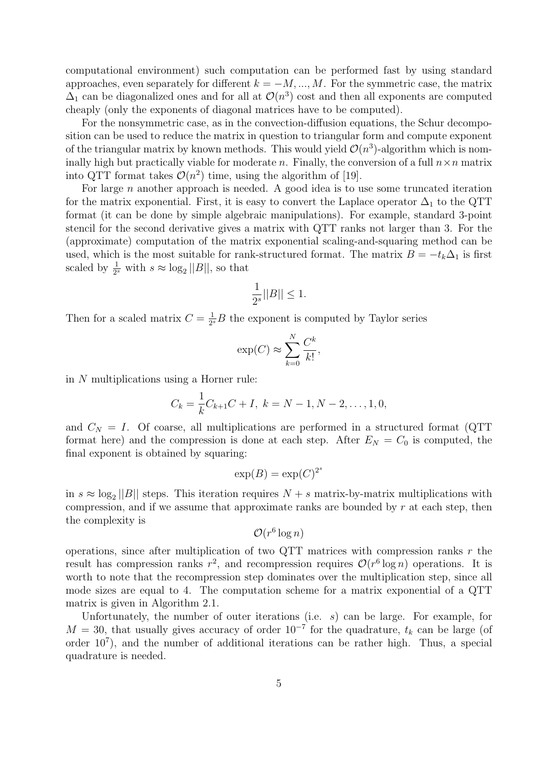computational environment) such computation can be performed fast by using standard approaches, even separately for different  $k = -M, ..., M$ . For the symmetric case, the matrix  $\Delta_1$  can be diagonalized ones and for all at  $\mathcal{O}(n^3)$  cost and then all exponents are computed cheaply (only the exponents of diagonal matrices have to be computed).

For the nonsymmetric case, as in the convection-diffusion equations, the Schur decomposition can be used to reduce the matrix in question to triangular form and compute exponent of the triangular matrix by known methods. This would yield  $\mathcal{O}(n^3)$ -algorithm which is nominally high but practically viable for moderate n. Finally, the conversion of a full  $n \times n$  matrix into QTT format takes  $\mathcal{O}(n^2)$  time, using the algorithm of [19].

For large  $n$  another approach is needed. A good idea is to use some truncated iteration for the matrix exponential. First, it is easy to convert the Laplace operator  $\Delta_1$  to the QTT format (it can be done by simple algebraic manipulations). For example, standard 3-point stencil for the second derivative gives a matrix with QTT ranks not larger than 3. For the (approximate) computation of the matrix exponential scaling-and-squaring method can be used, which is the most suitable for rank-structured format. The matrix  $B = -t_k\Delta_1$  is first scaled by  $\frac{1}{2^s}$  with  $s \approx \log_2 ||B||$ , so that

$$
\frac{1}{2^s}||B|| \le 1.
$$

Then for a scaled matrix  $C = \frac{1}{2^k}$  $\frac{1}{2^s}B$  the exponent is computed by Taylor series

$$
\exp(C) \approx \sum_{k=0}^{N} \frac{C^k}{k!},
$$

in N multiplications using a Horner rule:

$$
C_k = \frac{1}{k}C_{k+1}C + I, \ k = N - 1, N - 2, \dots, 1, 0,
$$

and  $C_N = I$ . Of coarse, all multiplications are performed in a structured format (QTT) format here) and the compression is done at each step. After  $E_N = C_0$  is computed, the final exponent is obtained by squaring:

$$
\exp(B) = \exp(C)^{2^s}
$$

in  $s \approx \log_2 ||B||$  steps. This iteration requires  $N + s$  matrix-by-matrix multiplications with compression, and if we assume that approximate ranks are bounded by  $r$  at each step, then the complexity is

$$
\mathcal{O}(r^6\log n)
$$

operations, since after multiplication of two QTT matrices with compression ranks  $r$  the result has compression ranks  $r^2$ , and recompression requires  $\mathcal{O}(r^6 \log n)$  operations. It is worth to note that the recompression step dominates over the multiplication step, since all mode sizes are equal to 4. The computation scheme for a matrix exponential of a QTT matrix is given in Algorithm 2.1.

Unfortunately, the number of outer iterations (i.e.  $s$ ) can be large. For example, for  $M = 30$ , that usually gives accuracy of order  $10^{-7}$  for the quadrature,  $t_k$  can be large (of order  $10^7$ ), and the number of additional iterations can be rather high. Thus, a special quadrature is needed.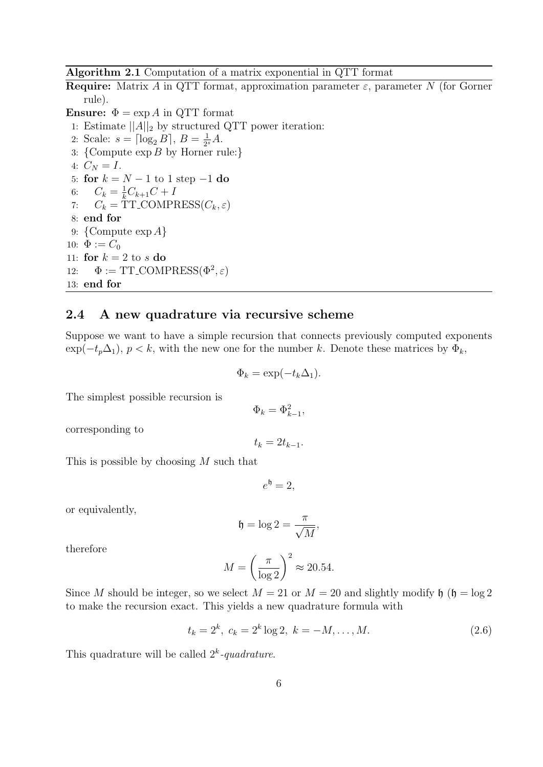Algorithm 2.1 Computation of a matrix exponential in QTT format

**Require:** Matrix A in QTT format, approximation parameter  $\varepsilon$ , parameter N (for Gorner rule).

**Ensure:**  $\Phi = \exp A$  in QTT format

1: Estimate  $||A||_2$  by structured QTT power iteration:

- 2: Scale:  $s = \lceil \log_2 B \rceil, B = \frac{1}{2^s}$  $\frac{1}{2^s}A$ .
- 3:  ${Compute exp } B$  by Horner rule:
- 4:  $C_N = I$ .

5: for  $k = N - 1$  to 1 step  $-1$  do

- 6:  $C_k = \frac{1}{k}C_{k+1}C + I$
- 7:  $C_k = \text{TT\_COMPRESS}(C_k, \varepsilon)$
- 8: end for
- 9:  ${Compute exp } A$
- 10:  $\Phi := C_0$

11: for  $k = 2$  to s do

12: 
$$
\Phi := TT\text{-COMPRESS}(\Phi^2, \varepsilon)
$$
  
13: **end for**

#### 2.4 A new quadrature via recursive scheme

Suppose we want to have a simple recursion that connects previously computed exponents  $\exp(-t_p\Delta_1)$ ,  $p < k$ , with the new one for the number k. Denote these matrices by  $\Phi_k$ ,

$$
\Phi_k = \exp(-t_k \Delta_1).
$$

The simplest possible recursion is

corresponding to

 $t_k = 2t_{k-1}.$ 

 $\Phi_k = \Phi_{k-1}^2,$ 

This is possible by choosing M such that

 $e^{\mathfrak{h}}=2,$ 

or equivalently,

$$
\mathfrak{h}=\log 2=\frac{\pi}{\sqrt{M}},
$$

therefore

$$
M = \left(\frac{\pi}{\log 2}\right)^2 \approx 20.54.
$$

Since M should be integer, so we select  $M = 21$  or  $M = 20$  and slightly modify  $\mathfrak{h}$  ( $\mathfrak{h} = \log 2$ ) to make the recursion exact. This yields a new quadrature formula with

$$
t_k = 2^k, \ c_k = 2^k \log 2, \ k = -M, \dots, M. \tag{2.6}
$$

This quadrature will be called  $2^k$ -quadrature.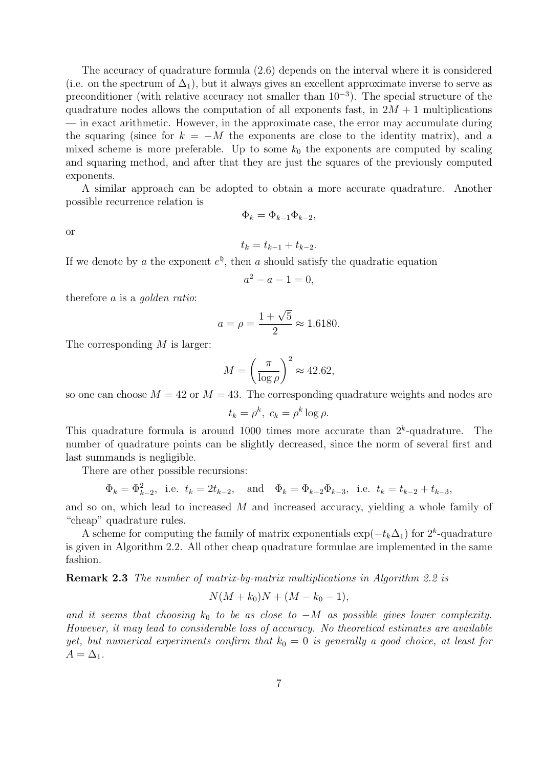The accuracy of quadrature formula (2.6) depends on the interval where it is considered (i.e. on the spectrum of  $\Delta_1$ ), but it always gives an excellent approximate inverse to serve as preconditioner (with relative accuracy not smaller than  $10^{-3}$ ). The special structure of the quadrature nodes allows the computation of all exponents fast, in  $2M + 1$  multiplications — in exact arithmetic. However, in the approximate case, the error may accumulate during the squaring (since for  $k = -M$  the exponents are close to the identity matrix), and a mixed scheme is more preferable. Up to some  $k_0$  the exponents are computed by scaling and squaring method, and after that they are just the squares of the previously computed exponents.

A similar approach can be adopted to obtain a more accurate quadrature. Another possible recurrence relation is

$$
\Phi_k = \Phi_{k-1}\Phi_{k-2},
$$

or

$$
t_k = t_{k-1} + t_{k-2}.
$$

If we denote by a the exponent  $e^{\mathfrak{h}}$ , then a should satisfy the quadratic equation

$$
a^2 - a - 1 = 0,
$$

therefore a is a golden ratio:

$$
a = \rho = \frac{1 + \sqrt{5}}{2} \approx 1.6180.
$$

The corresponding M is larger:

$$
M = \left(\frac{\pi}{\log \rho}\right)^2 \approx 42.62,
$$

so one can choose  $M = 42$  or  $M = 43$ . The corresponding quadrature weights and nodes are

$$
t_k = \rho^k, \ c_k = \rho^k \log \rho.
$$

This quadrature formula is around 1000 times more accurate than  $2<sup>k</sup>$ -quadrature. The number of quadrature points can be slightly decreased, since the norm of several first and last summands is negligible.

There are other possible recursions:

$$
\Phi_k = \Phi_{k-2}^2
$$
, i.e.  $t_k = 2t_{k-2}$ , and  $\Phi_k = \Phi_{k-2}\Phi_{k-3}$ , i.e.  $t_k = t_{k-2} + t_{k-3}$ ,

and so on, which lead to increased  $M$  and increased accuracy, yielding a whole family of "cheap" quadrature rules.

A scheme for computing the family of matrix exponentials  $\exp(-t_k\Delta_1)$  for  $2^k$ -quadrature is given in Algorithm 2.2. All other cheap quadrature formulae are implemented in the same fashion.

Remark 2.3 The number of matrix-by-matrix multiplications in Algorithm 2.2 is

$$
N(M + k_0)N + (M - k_0 - 1),
$$

and it seems that choosing  $k_0$  to be as close to  $-M$  as possible gives lower complexity. However, it may lead to considerable loss of accuracy. No theoretical estimates are available yet, but numerical experiments confirm that  $k_0 = 0$  is generally a good choice, at least for  $A = \Delta_1$ .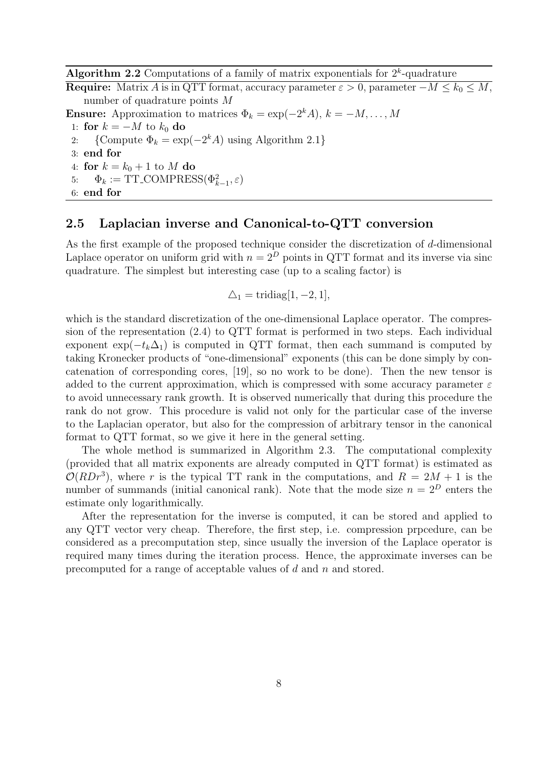Algorithm 2.2 Computations of a family of matrix exponentials for  $2<sup>k</sup>$ -quadrature

**Require:** Matrix A is in QTT format, accuracy parameter  $\varepsilon > 0$ , parameter  $-M \leq k_0 \leq M$ , number of quadrature points M

**Ensure:** Approximation to matrices  $\Phi_k = \exp(-2^k A), k = -M, ..., M$ 

- 1: for  $k = -M$  to  $k_0$  do<br>2: {Compute  $\Phi_k = \text{ex}$ ]
- 2: {Compute  $\Phi_k = \exp(-2^k A)$  using Algorithm 2.1}
- 3: end for
- 4: for  $k = k_0 + 1$  to M do
- 5:  $\Phi_k := \text{TT\_COMPRESS}(\Phi_{k-1}^2, \varepsilon)$
- 6: end for

#### 2.5 Laplacian inverse and Canonical-to-QTT conversion

As the first example of the proposed technique consider the discretization of d-dimensional Laplace operator on uniform grid with  $n = 2^D$  points in QTT format and its inverse via sinc quadrature. The simplest but interesting case (up to a scaling factor) is

$$
\triangle_1 = \text{tridiag}[1, -2, 1],
$$

which is the standard discretization of the one-dimensional Laplace operator. The compression of the representation (2.4) to QTT format is performed in two steps. Each individual exponent  $\exp(-t_k\Delta_1)$  is computed in QTT format, then each summand is computed by taking Kronecker products of "one-dimensional" exponents (this can be done simply by concatenation of corresponding cores, [19], so no work to be done). Then the new tensor is added to the current approximation, which is compressed with some accuracy parameter  $\varepsilon$ to avoid unnecessary rank growth. It is observed numerically that during this procedure the rank do not grow. This procedure is valid not only for the particular case of the inverse to the Laplacian operator, but also for the compression of arbitrary tensor in the canonical format to QTT format, so we give it here in the general setting.

The whole method is summarized in Algorithm 2.3. The computational complexity (provided that all matrix exponents are already computed in QTT format) is estimated as  $\mathcal{O}(RDr^3)$ , where r is the typical TT rank in the computations, and  $R = 2M + 1$  is the number of summands (initial canonical rank). Note that the mode size  $n = 2^D$  enters the estimate only logarithmically.

After the representation for the inverse is computed, it can be stored and applied to any QTT vector very cheap. Therefore, the first step, i.e. compression prpcedure, can be considered as a precomputation step, since usually the inversion of the Laplace operator is required many times during the iteration process. Hence, the approximate inverses can be precomputed for a range of acceptable values of  $d$  and  $n$  and stored.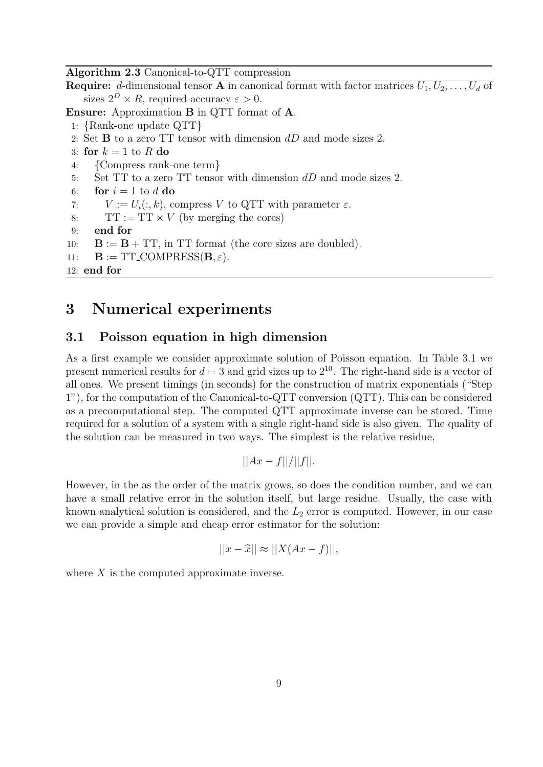Algorithm 2.3 Canonical-to-QTT compression

**Require:** d-dimensional tensor **A** in canonical format with factor matrices  $U_1, U_2, \ldots, U_d$  of sizes  $2^D \times R$ , required accuracy  $\varepsilon > 0$ .

Ensure: Approximation B in QTT format of A.

- 1: {Rank-one update QTT}
- 2: Set B to a zero TT tensor with dimension dD and mode sizes 2.
- 3: for  $k = 1$  to R do
- 4: {Compress rank-one term}<br>5: Set TT to a zero TT tenso
- Set  $TT$  to a zero  $TT$  tensor with dimension  $dD$  and mode sizes 2.
- 6: for  $i = 1$  to d do
- 7:  $V := U_i(:,k)$ , compress V to QTT with parameter  $\varepsilon$ .
- 8:  $TT := TT \times V$  (by merging the cores)<br>9: **end for**
- end for
- 10:  $\mathbf{B} := \mathbf{B} + \mathbf{T} \mathbf{T}$ , in TT format (the core sizes are doubled).
- 11:  $\mathbf{B} := \text{TT\_COMPRESS}(\mathbf{B}, \varepsilon).$

```
12: end for
```
## 3 Numerical experiments

#### 3.1 Poisson equation in high dimension

As a first example we consider approximate solution of Poisson equation. In Table 3.1 we present numerical results for  $d = 3$  and grid sizes up to  $2^{10}$ . The right-hand side is a vector of all ones. We present timings (in seconds) for the construction of matrix exponentials ("Step 1"), for the computation of the Canonical-to-QTT conversion (QTT). This can be considered as a precomputational step. The computed QTT approximate inverse can be stored. Time required for a solution of a system with a single right-hand side is also given. The quality of the solution can be measured in two ways. The simplest is the relative residue,

$$
||Ax - f||/||f||.
$$

However, in the as the order of the matrix grows, so does the condition number, and we can have a small relative error in the solution itself, but large residue. Usually, the case with known analytical solution is considered, and the  $L_2$  error is computed. However, in our case we can provide a simple and cheap error estimator for the solution:

$$
||x - \widehat{x}|| \approx ||X(Ax - f)||,
$$

where  $X$  is the computed approximate inverse.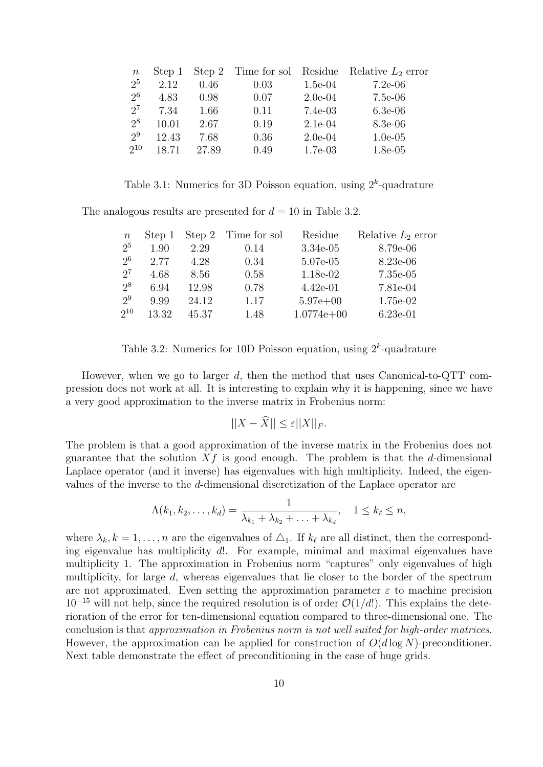| $\,n$          | Step 1 |       |      |           | Step 2 Time for sol Residue Relative $L_2$ error |
|----------------|--------|-------|------|-----------|--------------------------------------------------|
| 2 <sup>5</sup> | 2.12   | 0.46  | 0.03 | $1.5e-04$ | $7.2e-06$                                        |
| 2 <sup>6</sup> | 4.83   | 0.98  | 0.07 | $2.0e-04$ | $7.5e-06$                                        |
| $2^7$          | 7.34   | 1.66  | 0.11 | $7.4e-03$ | $6.3e-06$                                        |
| 2 <sup>8</sup> | 10.01  | 2.67  | 0.19 | $2.1e-04$ | 8.3e-06                                          |
| 2 <sup>9</sup> | 12.43  | 7.68  | 0.36 | $2.0e-04$ | $1.0e-05$                                        |
| $2^{10}$       | 18.71  | 27.89 | 0.49 | $1.7e-03$ | $1.8e-0.5$                                       |

Table 3.1: Numerics for 3D Poisson equation, using  $2^k$ -quadrature

The analogous results are presented for  $d = 10$  in Table 3.2.

| $\,n$          | Step 1 | Step 2 | Time for sol | Residue      | Relative $L_2$ error |
|----------------|--------|--------|--------------|--------------|----------------------|
| 2 <sup>5</sup> | 1.90   | 2.29   | 0.14         | $3.34e-05$   | 8.79e-06             |
| 2 <sup>6</sup> | 2.77   | 4.28   | 0.34         | 5.07e-05     | 8.23e-06             |
| $2^7$          | 4.68   | 8.56   | 0.58         | 1.18e-02     | $7.35e-05$           |
| $2^8$          | 6.94   | 12.98  | 0.78         | $4.42e-01$   | 7.81e-04             |
| $2^9$          | 9.99   | 24.12  | 1.17         | $5.97e+00$   | 1.75e-02             |
| $2^{10}$       | 13.32  | 45.37  | 1.48         | $1.0774e+00$ | $6.23e-01$           |

Table 3.2: Numerics for 10D Poisson equation, using  $2<sup>k</sup>$ -quadrature

However, when we go to larger d, then the method that uses Canonical-to-QTT compression does not work at all. It is interesting to explain why it is happening, since we have a very good approximation to the inverse matrix in Frobenius norm:

$$
||X - \hat{X}|| \le \varepsilon ||X||_F.
$$

The problem is that a good approximation of the inverse matrix in the Frobenius does not guarantee that the solution  $Xf$  is good enough. The problem is that the d-dimensional Laplace operator (and it inverse) has eigenvalues with high multiplicity. Indeed, the eigenvalues of the inverse to the d-dimensional discretization of the Laplace operator are

$$
\Lambda(k_1,k_2,\ldots,k_d)=\frac{1}{\lambda_{k_1}+\lambda_{k_2}+\ldots+\lambda_{k_d}}, \quad 1\leq k_\ell\leq n,
$$

where  $\lambda_k, k = 1, \ldots, n$  are the eigenvalues of  $\Delta_1$ . If  $k_{\ell}$  are all distinct, then the corresponding eigenvalue has multiplicity d!. For example, minimal and maximal eigenvalues have multiplicity 1. The approximation in Frobenius norm "captures" only eigenvalues of high multiplicity, for large  $d$ , whereas eigenvalues that lie closer to the border of the spectrum are not approximated. Even setting the approximation parameter  $\varepsilon$  to machine precision  $10^{-15}$  will not help, since the required resolution is of order  $\mathcal{O}(1/d!)$ . This explains the deterioration of the error for ten-dimensional equation compared to three-dimensional one. The conclusion is that approximation in Frobenius norm is not well suited for high-order matrices. However, the approximation can be applied for construction of  $O(d \log N)$ -preconditioner. Next table demonstrate the effect of preconditioning in the case of huge grids.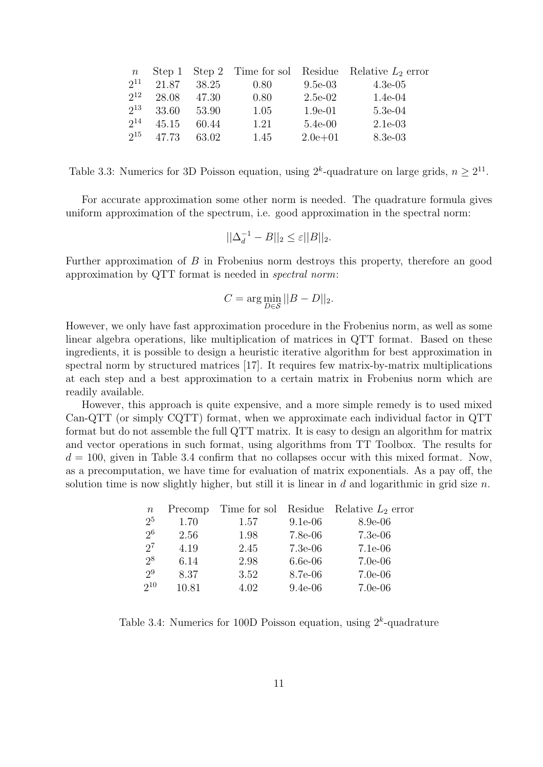| $\boldsymbol{n}$ |       |       |      |             | Step 1 Step 2 Time for sol Residue Relative $L_2$ error |
|------------------|-------|-------|------|-------------|---------------------------------------------------------|
| $2^{11}$         | 21.87 | 38.25 | 0.80 | $9.5e-03$   | $4.3e-05$                                               |
| $2^{12}$         | 28.08 | 47.30 | 0.80 | $2.5e-02$   | $1.4e-04$                                               |
| $2^{13}$         | 33.60 | 53.90 | 1.05 | $1.9e-01$   | $5.3e-04$                                               |
| $2^{14}$         | 45.15 | 60.44 | 1.21 | $5.4e-00$   | $2.1e-03$                                               |
| $2^{15}$         | 47.73 | 63.02 | 1.45 | $2.0e + 01$ | 8.3e-03                                                 |

Table 3.3: Numerics for 3D Poisson equation, using  $2^k$ -quadrature on large grids,  $n \geq 2^{11}$ .

For accurate approximation some other norm is needed. The quadrature formula gives uniform approximation of the spectrum, i.e. good approximation in the spectral norm:

$$
||\Delta_d^{-1} - B||_2 \le \varepsilon ||B||_2.
$$

Further approximation of  $B$  in Frobenius norm destroys this property, therefore an good approximation by QTT format is needed in spectral norm:

$$
C = \arg\min_{D \in \mathcal{S}} ||B - D||_2.
$$

However, we only have fast approximation procedure in the Frobenius norm, as well as some linear algebra operations, like multiplication of matrices in QTT format. Based on these ingredients, it is possible to design a heuristic iterative algorithm for best approximation in spectral norm by structured matrices [17]. It requires few matrix-by-matrix multiplications at each step and a best approximation to a certain matrix in Frobenius norm which are readily available.

However, this approach is quite expensive, and a more simple remedy is to used mixed Can-QTT (or simply CQTT) format, when we approximate each individual factor in QTT format but do not assemble the full QTT matrix. It is easy to design an algorithm for matrix and vector operations in such format, using algorithms from TT Toolbox. The results for  $d = 100$ , given in Table 3.4 confirm that no collapses occur with this mixed format. Now, as a precomputation, we have time for evaluation of matrix exponentials. As a pay off, the solution time is now slightly higher, but still it is linear in  $d$  and logarithmic in grid size  $n$ .

| $\, n$         | Precomp | Time for sol Residue |           | Relative $L_2$ error |
|----------------|---------|----------------------|-----------|----------------------|
| 2 <sup>5</sup> | 1.70    | 1.57                 | $9.1e-06$ | $8.9e-06$            |
| 2 <sup>6</sup> | 2.56    | 1.98                 | $7.8e-06$ | $7.3e-06$            |
| $2^7$          | 4.19    | 2.45                 | $7.3e-06$ | $7.1e-06$            |
| $2^8$          | 6.14    | 2.98                 | $6.6e-06$ | $7.0e-06$            |
| 2 <sup>9</sup> | 8.37    | 3.52                 | 8.7e-06   | $7.0e-06$            |
| $2^{10}$       | 10.81   | 4.02                 | $9.4e-06$ | $7.0e-06$            |

Table 3.4: Numerics for 100D Poisson equation, using  $2^k$ -quadrature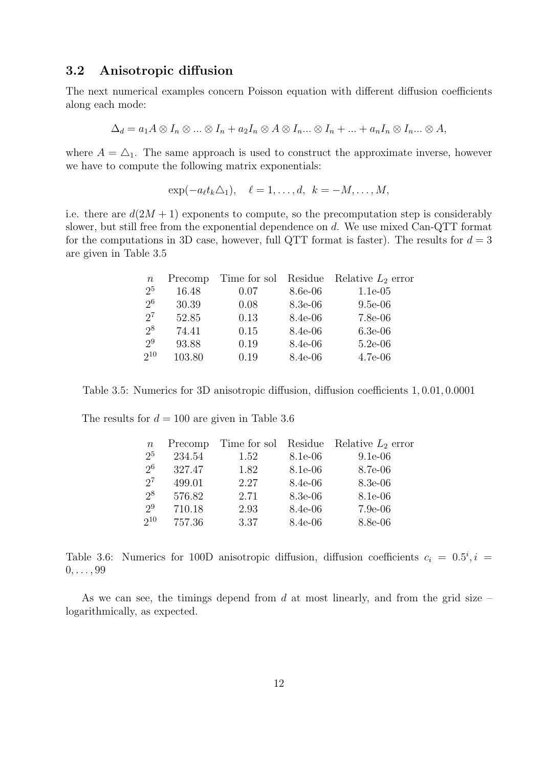#### 3.2 Anisotropic diffusion

The next numerical examples concern Poisson equation with different diffusion coefficients along each mode:

$$
\Delta_d = a_1 A \otimes I_n \otimes \ldots \otimes I_n + a_2 I_n \otimes A \otimes I_n \ldots \otimes I_n + \ldots + a_n I_n \otimes I_n \ldots \otimes A,
$$

where  $A = \Delta_1$ . The same approach is used to construct the approximate inverse, however we have to compute the following matrix exponentials:

 $\exp(-a_{\ell}t_k\Delta_1), \quad \ell=1,\ldots,d, \quad k=-M,\ldots,M,$ 

i.e. there are  $d(2M + 1)$  exponents to compute, so the precomputation step is considerably slower, but still free from the exponential dependence on d. We use mixed Can-QTT format for the computations in 3D case, however, full QTT format is faster). The results for  $d = 3$ are given in Table 3.5

| $\, n$         | Precomp |      |           | Time for sol Residue Relative $L_2$ error |
|----------------|---------|------|-----------|-------------------------------------------|
| 2 <sup>5</sup> | 16.48   | 0.07 | 8.6e-06   | $1.1e-0.5$                                |
| 2 <sup>6</sup> | 30.39   | 0.08 | 8.3e-06   | $9.5e-06$                                 |
| $2^7$          | 52.85   | 0.13 | $8.4e-06$ | $7.8e-06$                                 |
| 2 <sup>8</sup> | 74.41   | 0.15 | $8.4e-06$ | $6.3e-06$                                 |
| 2 <sup>9</sup> | 93.88   | 0.19 | $8.4e-06$ | $5.2e-06$                                 |
| $2^{10}$       | 103.80  | 0.19 | $8.4e-06$ | $4.7e-06$                                 |
|                |         |      |           |                                           |

Table 3.5: Numerics for 3D anisotropic diffusion, diffusion coefficients 1, 0.01, 0.0001

The results for  $d = 100$  are given in Table 3.6

| $\, n$         | Precomp |      |           | Time for sol Residue Relative $L_2$ error |
|----------------|---------|------|-----------|-------------------------------------------|
| 2 <sup>5</sup> | 234.54  | 1.52 | 8.1e-06   | $9.1e-06$                                 |
| 2 <sup>6</sup> | 327.47  | 1.82 | 8.1e-06   | 8.7e-06                                   |
| $2^7$          | 499.01  | 2.27 | 8.4e-06   | 8.3e-06                                   |
| 2 <sup>8</sup> | 576.82  | 2.71 | $8.3e-06$ | 8.1e-06                                   |
| 2 <sup>9</sup> | 710.18  | 2.93 | 8.4e-06   | $7.9e-06$                                 |
| $2^{10}$       | 757.36  | 3.37 | 8.4e-06   | 8.8e-06                                   |

Table 3.6: Numerics for 100D anisotropic diffusion, diffusion coefficients  $c_i = 0.5^i$ ,  $i =$  $0, \ldots, 99$ 

As we can see, the timings depend from d at most linearly, and from the grid size – logarithmically, as expected.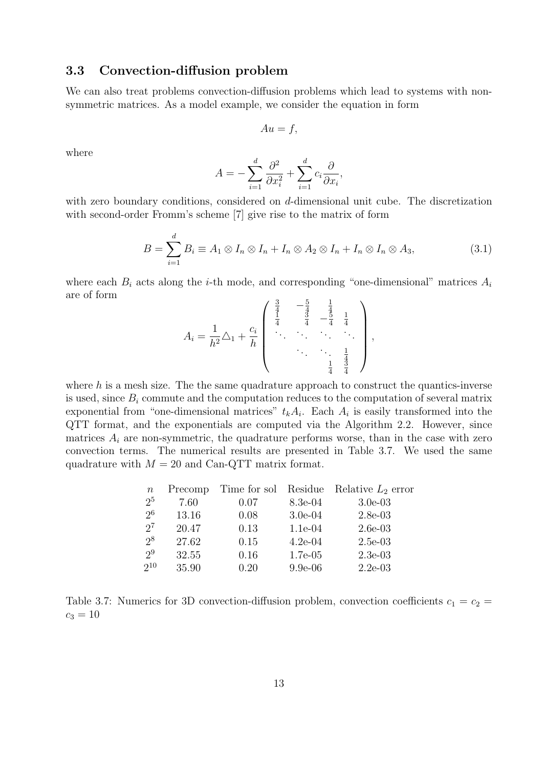#### 3.3 Convection-diffusion problem

We can also treat problems convection-diffusion problems which lead to systems with nonsymmetric matrices. As a model example, we consider the equation in form

$$
Au = f,
$$

where

$$
A = -\sum_{i=1}^{d} \frac{\partial^2}{\partial x_i^2} + \sum_{i=1}^{d} c_i \frac{\partial}{\partial x_i},
$$

with zero boundary conditions, considered on d-dimensional unit cube. The discretization with second-order Fromm's scheme [7] give rise to the matrix of form

$$
B = \sum_{i=1}^{d} B_i \equiv A_1 \otimes I_n \otimes I_n + I_n \otimes A_2 \otimes I_n + I_n \otimes I_n \otimes A_3, \tag{3.1}
$$

where each  $B_i$  acts along the *i*-th mode, and corresponding "one-dimensional" matrices  $A_i$ are of form  $\lambda$ 

$$
A_i = \frac{1}{h^2} \triangle_1 + \frac{c_i}{h} \begin{pmatrix} \frac{3}{4} & -\frac{5}{4} & \frac{1}{4} \\ \frac{1}{4} & \frac{3}{4} & -\frac{5}{4} & \frac{1}{4} \\ \vdots & \vdots & \ddots & \vdots \\ \vdots & \vdots & \ddots & \vdots \\ \vdots & \vdots & \ddots & \vdots \\ \frac{1}{4} & \frac{3}{4} & \frac{1}{4} \end{pmatrix},
$$

where  $h$  is a mesh size. The the same quadrature approach to construct the quantics-inverse is used, since  $B_i$  commute and the computation reduces to the computation of several matrix exponential from "one-dimensional matrices"  $t_k A_i$ . Each  $A_i$  is easily transformed into the QTT format, and the exponentials are computed via the Algorithm 2.2. However, since matrices  $A_i$  are non-symmetric, the quadrature performs worse, than in the case with zero convection terms. The numerical results are presented in Table 3.7. We used the same quadrature with  $M = 20$  and Can-QTT matrix format.

| $\, n$         | Precomp | Time for sol Residue |            | Relative $L_2$ error |
|----------------|---------|----------------------|------------|----------------------|
| 2 <sup>5</sup> | 7.60    | 0.07                 | 8.3e-04    | $3.0e-03$            |
| 2 <sup>6</sup> | 13.16   | 0.08                 | $3.0e-04$  | $2.8e-03$            |
| $2^7$          | 20.47   | 0.13                 | $1.1e-04$  | $2.6e-03$            |
| 2 <sup>8</sup> | 27.62   | 0.15                 | $4.2e-04$  | $2.5e-03$            |
| 2 <sup>9</sup> | 32.55   | 0.16                 | $1.7e-0.5$ | $2.3e-03$            |
| $2^{10}$       | 35.90   | 0.20                 | $9.9e-06$  | $2.2e-03$            |
|                |         |                      |            |                      |

Table 3.7: Numerics for 3D convection-diffusion problem, convection coefficients  $c_1 = c_2$  =  $c_3 = 10$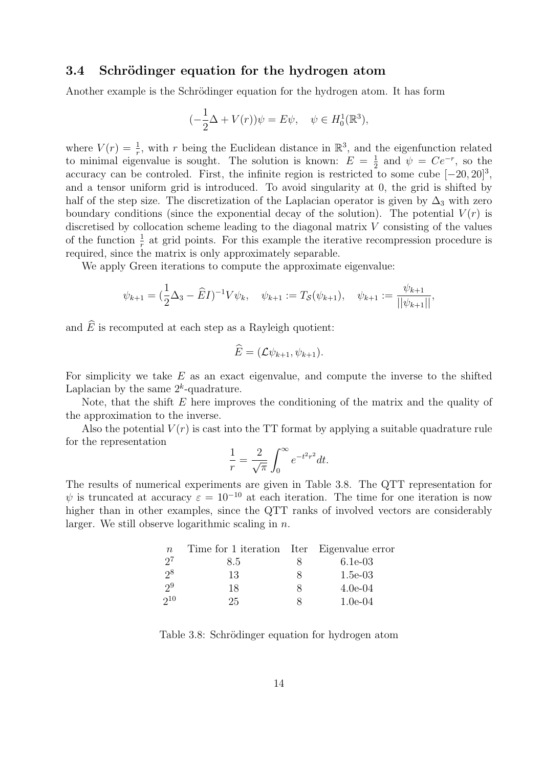#### 3.4 Schrödinger equation for the hydrogen atom

Another example is the Schrödinger equation for the hydrogen atom. It has form

$$
(-\frac{1}{2}\Delta + V(r))\psi = E\psi, \quad \psi \in H_0^1(\mathbb{R}^3),
$$

where  $V(r) = \frac{1}{r}$ , with r being the Euclidean distance in  $\mathbb{R}^3$ , and the eigenfunction related to minimal eigenvalue is sought. The solution is known:  $E = \frac{1}{2}$  $\frac{1}{2}$  and  $\psi = Ce^{-r}$ , so the accuracy can be controled. First, the infinite region is restricted to some cube  $[-20, 20]^3$ , and a tensor uniform grid is introduced. To avoid singularity at 0, the grid is shifted by half of the step size. The discretization of the Laplacian operator is given by  $\Delta_3$  with zero boundary conditions (since the exponential decay of the solution). The potential  $V(r)$  is discretised by collocation scheme leading to the diagonal matrix V consisting of the values of the function  $\frac{1}{r}$  at grid points. For this example the iterative recompression procedure is required, since the matrix is only approximately separable.

We apply Green iterations to compute the approximate eigenvalue:

$$
\psi_{k+1} = \left(\frac{1}{2}\Delta_3 - \widehat{E}I\right)^{-1}V\psi_k, \quad \psi_{k+1} := T_{\mathcal{S}}(\psi_{k+1}), \quad \psi_{k+1} := \frac{\psi_{k+1}}{||\psi_{k+1}||},
$$

and  $\widehat{E}$  is recomputed at each step as a Rayleigh quotient:

$$
E=(\mathcal{L}\psi_{k+1},\psi_{k+1}).
$$

For simplicity we take  $E$  as an exact eigenvalue, and compute the inverse to the shifted Laplacian by the same  $2^k$ -quadrature.

Note, that the shift  $E$  here improves the conditioning of the matrix and the quality of the approximation to the inverse.

Also the potential  $V(r)$  is cast into the TT format by applying a suitable quadrature rule for the representation

$$
\frac{1}{r} = \frac{2}{\sqrt{\pi}} \int_0^\infty e^{-t^2 r^2} dt.
$$

The results of numerical experiments are given in Table 3.8. The QTT representation for  $\psi$  is truncated at accuracy  $\varepsilon = 10^{-10}$  at each iteration. The time for one iteration is now higher than in other examples, since the QTT ranks of involved vectors are considerably larger. We still observe logarithmic scaling in  $n$ .

| $\,n$ | Time for 1 iteration Iter Eigenvalue error |          |           |
|-------|--------------------------------------------|----------|-----------|
| $2^7$ | 8.5                                        | x        | $6.1e-03$ |
| $2^8$ | 13                                         | $\times$ | $1.5e-03$ |
| $2^9$ | 18                                         | x        | $4.0e-04$ |
| 210   | 25                                         | ×        | $1.0e-04$ |

Table 3.8: Schrödinger equation for hydrogen atom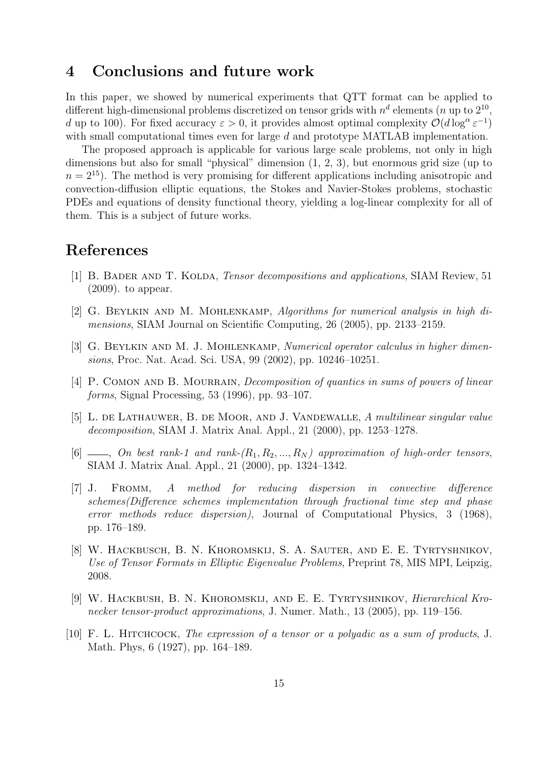### 4 Conclusions and future work

In this paper, we showed by numerical experiments that QTT format can be applied to different high-dimensional problems discretized on tensor grids with  $n^d$  elements (*n* up to  $2^{10}$ , d up to 100). For fixed accuracy  $\varepsilon > 0$ , it provides almost optimal complexity  $\mathcal{O}(d \log^{\alpha} \varepsilon^{-1})$ with small computational times even for large d and prototype MATLAB implementation.

The proposed approach is applicable for various large scale problems, not only in high dimensions but also for small "physical" dimension (1, 2, 3), but enormous grid size (up to  $n = 2^{15}$ ). The method is very promising for different applications including anisotropic and convection-diffusion elliptic equations, the Stokes and Navier-Stokes problems, stochastic PDEs and equations of density functional theory, yielding a log-linear complexity for all of them. This is a subject of future works.

## References

- [1] B. BADER AND T. KOLDA, *Tensor decompositions and applications*, SIAM Review, 51 (2009). to appear.
- [2] G. Beylkin and M. Mohlenkamp, Algorithms for numerical analysis in high dimensions, SIAM Journal on Scientific Computing, 26 (2005), pp. 2133–2159.
- [3] G. BEYLKIN AND M. J. MOHLENKAMP, Numerical operator calculus in higher dimensions, Proc. Nat. Acad. Sci. USA, 99 (2002), pp. 10246–10251.
- [4] P. COMON AND B. MOURRAIN, *Decomposition of quantics in sums of powers of linear* forms, Signal Processing, 53 (1996), pp. 93–107.
- [5] L. de Lathauwer, B. de Moor, and J. Vandewalle, A multilinear singular value decomposition, SIAM J. Matrix Anal. Appl., 21 (2000), pp. 1253–1278.
- [6]  $\ldots$ , On best rank-1 and rank- $(R_1, R_2, \ldots, R_N)$  approximation of high-order tensors, SIAM J. Matrix Anal. Appl., 21 (2000), pp. 1324–1342.
- [7] J. Fromm, A method for reducing dispersion in convective difference schemes(Difference schemes implementation through fractional time step and phase error methods reduce dispersion), Journal of Computational Physics, 3 (1968), pp. 176–189.
- [8] W. Hackbusch, B. N. Khoromskij, S. A. Sauter, and E. E. Tyrtyshnikov, Use of Tensor Formats in Elliptic Eigenvalue Problems, Preprint 78, MIS MPI, Leipzig, 2008.
- [9] W. Hackbush, B. N. Khoromskij, and E. E. Tyrtyshnikov, Hierarchical Kronecker tensor-product approximations, J. Numer. Math., 13 (2005), pp. 119–156.
- [10] F. L. Hitchcock, The expression of a tensor or a polyadic as a sum of products, J. Math. Phys, 6 (1927), pp. 164–189.